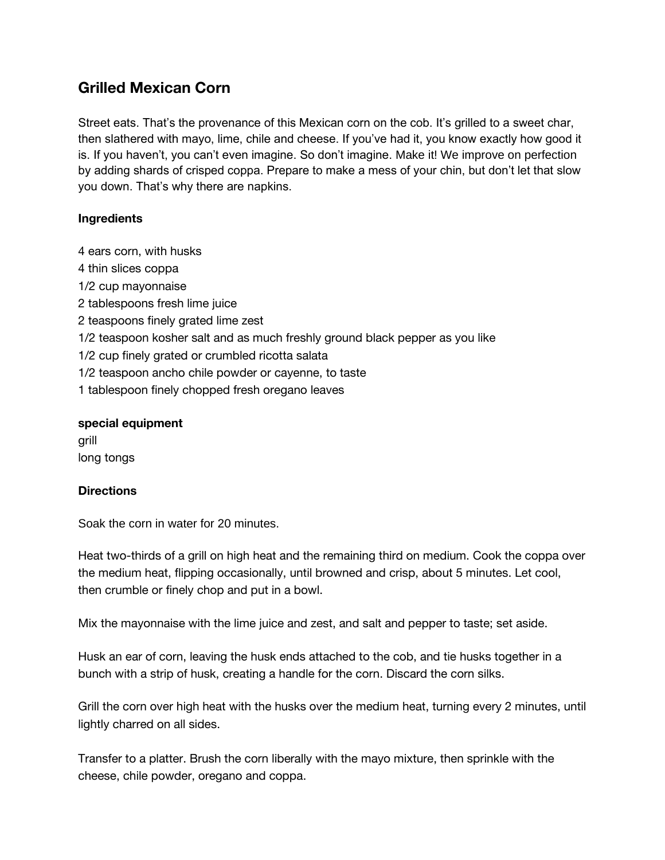## **Grilled Mexican Corn**

Street eats. That's the provenance of this Mexican corn on the cob. It's grilled to a sweet char, then slathered with mayo, lime, chile and cheese. If you've had it, you know exactly how good it is. If you haven't, you can't even imagine. So don't imagine. Make it! We improve on perfection by adding shards of crisped coppa. Prepare to make a mess of your chin, but don't let that slow you down. That's why there are napkins.

## **Ingredients**

4 ears corn, with husks

- 4 thin slices coppa
- 1/2 cup mayonnaise
- 2 tablespoons fresh lime juice
- 2 teaspoons finely grated lime zest
- 1/2 teaspoon kosher salt and as much freshly ground black pepper as you like
- 1/2 cup finely grated or crumbled ricotta salata
- 1/2 teaspoon ancho chile powder or cayenne, to taste
- 1 tablespoon finely chopped fresh oregano leaves

## **special equipment**

grill long tongs

## **Directions**

Soak the corn in water for 20 minutes.

Heat two-thirds of a grill on high heat and the remaining third on medium. Cook the coppa over the medium heat, flipping occasionally, until browned and crisp, about 5 minutes. Let cool, then crumble or finely chop and put in a bowl.

Mix the mayonnaise with the lime juice and zest, and salt and pepper to taste; set aside.

Husk an ear of corn, leaving the husk ends attached to the cob, and tie husks together in a bunch with a strip of husk, creating a handle for the corn. Discard the corn silks.

Grill the corn over high heat with the husks over the medium heat, turning every 2 minutes, until lightly charred on all sides.

Transfer to a platter. Brush the corn liberally with the mayo mixture, then sprinkle with the cheese, chile powder, oregano and coppa.